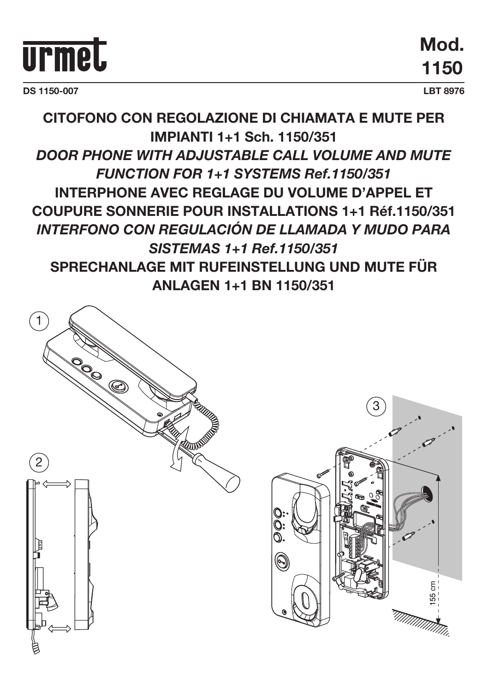

**DS 1150-007 LBT 8976**

**Mod. 1150**

## **CITOFONO CON REGOLAZIONE DI CHIAMATA E MUTE PER IMPIANTI 1+1 Sch. 1150/351** *DOOR PHONE WITH ADJUSTABLE CALL VOLUME AND MUTE FUNCTION FOR 1+1 SYSTEMS Ref.1150/351* **INTERPHONE AVEC REGLAGE DU VOLUME D'APPEL ET COUPURE SONNERIE POUR INSTALLATIONS 1+1 Réf.1150/351** *INTERFONO CON REGULACIÓN DE LLAMADA Y MUDO PARA SISTEMAS 1+1 Ref.1150/351* **SPRECHANLAGE MIT RUFEINSTELLUNG UND MUTE FÜR ANLAGEN 1+1 BN 1150/351**